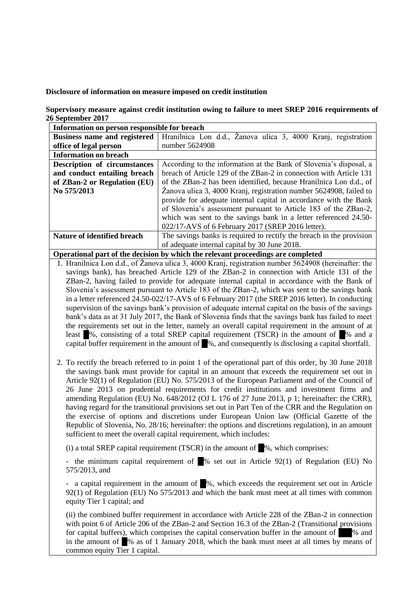## **Disclosure of information on measure imposed on credit institution**

**Supervisory measure against credit institution owing to failure to meet SREP 2016 requirements of 26 September 2017**

| Information on person responsible for breach |                                                                      |
|----------------------------------------------|----------------------------------------------------------------------|
| <b>Business name and registered</b>          | Hranilnica Lon d.d., Žanova ulica 3, 4000 Krani, registration        |
| office of legal person                       | number 5624908                                                       |
| <b>Information on breach</b>                 |                                                                      |
| Description of circumstances                 | According to the information at the Bank of Slovenia's disposal, a   |
| and conduct entailing breach                 | breach of Article 129 of the ZBan-2 in connection with Article 131   |
| of ZBan-2 or Regulation (EU)                 | of the ZBan-2 has been identified, because Hranilnica Lon d.d., of   |
| No 575/2013                                  | Žanova ulica 3, 4000 Kranj, registration number 5624908, failed to   |
|                                              | provide for adequate internal capital in accordance with the Bank    |
|                                              | of Slovenia's assessment pursuant to Article 183 of the ZBan-2,      |
|                                              | which was sent to the savings bank in a letter referenced 24.50-     |
|                                              | 022/17-AVS of 6 February 2017 (SREP 2016 letter).                    |
| Nature of identified breach                  | The savings banks is required to rectify the breach in the provision |
|                                              | of adequate internal capital by 30 June 2018.                        |
|                                              |                                                                      |

**Operational part of the decision by which the relevant proceedings are completed**

- 1. Hranilnica Lon d.d., of Žanova ulica 3, 4000 Kranj, registration number 5624908 (hereinafter: the savings bank), has breached Article 129 of the ZBan-2 in connection with Article 131 of the ZBan-2, having failed to provide for adequate internal capital in accordance with the Bank of Slovenia's assessment pursuant to Article 183 of the ZBan-2, which was sent to the savings bank in a letter referenced 24.50-022/17-AVS of 6 February 2017 (the SREP 2016 letter). In conducting supervision of the savings bank's provision of adequate internal capital on the basis of the savings bank's data as at 31 July 2017, the Bank of Slovenia finds that the savings bank has failed to meet the requirements set out in the letter, namely an overall capital requirement in the amount of at least  $\%$ , consisting of a total SREP capital requirement (TSCR) in the amount of  $\%$  and a capital buffer requirement in the amount of  $\Box$ %, and consequently is disclosing a capital shortfall.
- 2. To rectify the breach referred to in point 1 of the operational part of this order, by 30 June 2018 the savings bank must provide for capital in an amount that exceeds the requirement set out in Article 92(1) of Regulation (EU) No. 575/2013 of the European Parliament and of the Council of 26 June 2013 on prudential requirements for credit institutions and investment firms and amending Regulation (EU) No. 648/2012 (OJ L 176 of 27 June 2013, p 1; hereinafter: the CRR), having regard for the transitional provisions set out in Part Ten of the CRR and the Regulation on the exercise of options and discretions under European Union law (Official Gazette of the Republic of Slovenia, No. 28/16; hereinafter: the options and discretions regulation), in an amount sufficient to meet the overall capital requirement, which includes:

(i) a total SREP capital requirement (TSCR) in the amount of  $\%$ , which comprises:

- the minimum capital requirement of  $\%$  set out in Article 92(1) of Regulation (EU) No 575/2013, and

- a capital requirement in the amount of  $\mathbb{R}^8$ , which exceeds the requirement set out in Article 92(1) of Regulation (EU) No 575/2013 and which the bank must meet at all times with common equity Tier 1 capital; and

(ii) the combined buffer requirement in accordance with Article 228 of the ZBan-2 in connection with point 6 of Article 206 of the ZBan-2 and Section 16.3 of the ZBan-2 (Transitional provisions for capital buffers), which comprises the capital conservation buffer in the amount of  $\%$  and in the amount of  $\%$  as of 1 January 2018, which the bank must meet at all times by means of common equity Tier 1 capital.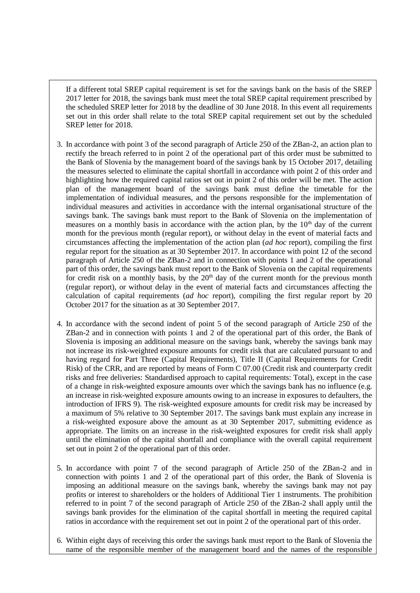If a different total SREP capital requirement is set for the savings bank on the basis of the SREP 2017 letter for 2018, the savings bank must meet the total SREP capital requirement prescribed by the scheduled SREP letter for 2018 by the deadline of 30 June 2018. In this event all requirements set out in this order shall relate to the total SREP capital requirement set out by the scheduled SREP letter for 2018.

- 3. In accordance with point 3 of the second paragraph of Article 250 of the ZBan-2, an action plan to rectify the breach referred to in point 2 of the operational part of this order must be submitted to the Bank of Slovenia by the management board of the savings bank by 15 October 2017, detailing the measures selected to eliminate the capital shortfall in accordance with point 2 of this order and highlighting how the required capital ratios set out in point 2 of this order will be met. The action plan of the management board of the savings bank must define the timetable for the implementation of individual measures, and the persons responsible for the implementation of individual measures and activities in accordance with the internal organisational structure of the savings bank. The savings bank must report to the Bank of Slovenia on the implementation of measures on a monthly basis in accordance with the action plan, by the  $10<sup>th</sup>$  day of the current month for the previous month (regular report), or without delay in the event of material facts and circumstances affecting the implementation of the action plan (*ad hoc* report), compiling the first regular report for the situation as at 30 September 2017. In accordance with point 12 of the second paragraph of Article 250 of the ZBan-2 and in connection with points 1 and 2 of the operational part of this order, the savings bank must report to the Bank of Slovenia on the capital requirements for credit risk on a monthly basis, by the  $20<sup>th</sup>$  day of the current month for the previous month (regular report), or without delay in the event of material facts and circumstances affecting the calculation of capital requirements (*ad hoc* report), compiling the first regular report by 20 October 2017 for the situation as at 30 September 2017.
- 4. In accordance with the second indent of point 5 of the second paragraph of Article 250 of the ZBan-2 and in connection with points 1 and 2 of the operational part of this order, the Bank of Slovenia is imposing an additional measure on the savings bank, whereby the savings bank may not increase its risk-weighted exposure amounts for credit risk that are calculated pursuant to and having regard for Part Three (Capital Requirements), Title II (Capital Requirements for Credit Risk) of the CRR, and are reported by means of Form C 07.00 (Credit risk and counterparty credit risks and free deliveries: Standardised approach to capital requirements: Total), except in the case of a change in risk-weighted exposure amounts over which the savings bank has no influence (e.g. an increase in risk-weighted exposure amounts owing to an increase in exposures to defaulters, the introduction of IFRS 9). The risk-weighted exposure amounts for credit risk may be increased by a maximum of 5% relative to 30 September 2017. The savings bank must explain any increase in a risk-weighted exposure above the amount as at 30 September 2017, submitting evidence as appropriate. The limits on an increase in the risk-weighted exposures for credit risk shall apply until the elimination of the capital shortfall and compliance with the overall capital requirement set out in point 2 of the operational part of this order.
- 5. In accordance with point 7 of the second paragraph of Article 250 of the ZBan-2 and in connection with points 1 and 2 of the operational part of this order, the Bank of Slovenia is imposing an additional measure on the savings bank, whereby the savings bank may not pay profits or interest to shareholders or the holders of Additional Tier 1 instruments. The prohibition referred to in point 7 of the second paragraph of Article 250 of the ZBan-2 shall apply until the savings bank provides for the elimination of the capital shortfall in meeting the required capital ratios in accordance with the requirement set out in point 2 of the operational part of this order.
- 6. Within eight days of receiving this order the savings bank must report to the Bank of Slovenia the name of the responsible member of the management board and the names of the responsible